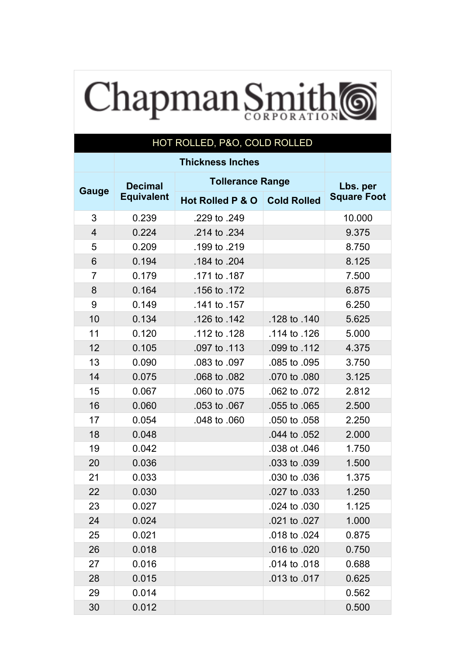## Chapman Smith 6

## HOT ROLLED, P&O, COLD ROLLED

|                         | <b>Decimal</b>    | <b>Tollerance Range</b> | Lbs. per           |                    |  |
|-------------------------|-------------------|-------------------------|--------------------|--------------------|--|
| Gauge                   | <b>Equivalent</b> | Hot Rolled P & O        | <b>Cold Rolled</b> | <b>Square Foot</b> |  |
| 3                       | 0.239             | .229 to .249            |                    | 10.000             |  |
| $\overline{\mathbf{4}}$ | 0.224             | .214 to .234            |                    | 9.375              |  |
| 5                       | 0.209             | .199 to .219            |                    | 8.750              |  |
| 6                       | 0.194             | .184 to .204            |                    | 8.125              |  |
| $\overline{7}$          | 0.179             | .171 to .187            |                    | 7.500              |  |
| 8                       | 0.164             | .156 to .172            |                    | 6.875              |  |
| 9                       | 0.149             | .141 to .157            |                    | 6.250              |  |
| 10                      | 0.134             | .126 to .142            | .128 to .140       | 5.625              |  |
| 11                      | 0.120             | .112 to .128            | .114 to .126       | 5.000              |  |
| 12                      | 0.105             | .097 to .113            | .099 to .112       | 4.375              |  |
| 13                      | 0.090             | .083 to .097            | .085 to .095       | 3.750              |  |
| 14                      | 0.075             | .068 to .082            | .070 to .080       | 3.125              |  |
| 15                      | 0.067             | .060 to .075            | .062 to .072       | 2.812              |  |
| 16                      | 0.060             | .053 to .067            | .055 to .065       | 2.500              |  |
| 17                      | 0.054             | .048 to .060            | .050 to .058       | 2.250              |  |
| 18                      | 0.048             |                         | .044 to .052       | 2.000              |  |
| 19                      | 0.042             |                         | .038 ot .046       | 1.750              |  |
| 20                      | 0.036             |                         | .033 to .039       | 1.500              |  |
| 21                      | 0.033             |                         | .030 to .036       | 1.375              |  |
| 22                      | 0.030             |                         | .027 to .033       | 1.250              |  |
| 23                      | 0.027             |                         | .024 to .030       | 1.125              |  |
| 24                      | 0.024             |                         | .021 to .027       | 1.000              |  |
| 25                      | 0.021             |                         | .018 to .024       | 0.875              |  |
| 26                      | 0.018             |                         | .016 to .020       | 0.750              |  |
| 27                      | 0.016             |                         | .014 to .018       | 0.688              |  |
| 28                      | 0.015             |                         | .013 to .017       | 0.625              |  |
| 29                      | 0.014             |                         |                    | 0.562              |  |
| 30                      | 0.012             |                         |                    | 0.500              |  |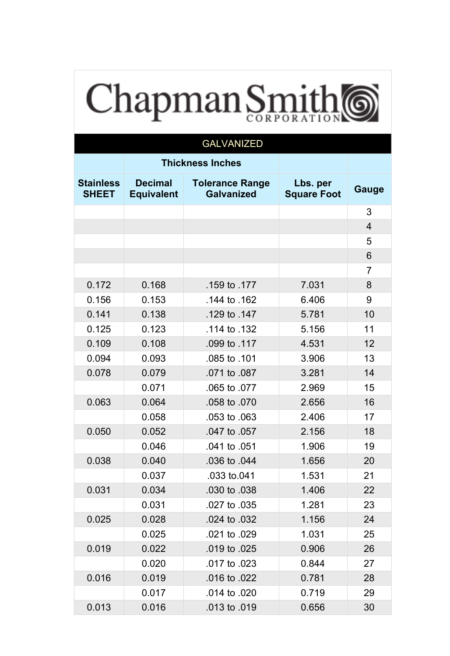## Chapman Smith

| <b>GALVANIZED</b>                |                                     |                                             |                                |                |  |  |  |
|----------------------------------|-------------------------------------|---------------------------------------------|--------------------------------|----------------|--|--|--|
|                                  |                                     | <b>Thickness Inches</b>                     |                                |                |  |  |  |
| <b>Stainless</b><br><b>SHEET</b> | <b>Decimal</b><br><b>Equivalent</b> | <b>Tolerance Range</b><br><b>Galvanized</b> | Lbs. per<br><b>Square Foot</b> | Gauge          |  |  |  |
|                                  |                                     |                                             |                                | 3              |  |  |  |
|                                  |                                     |                                             |                                | $\overline{4}$ |  |  |  |
|                                  |                                     |                                             |                                | 5              |  |  |  |
|                                  |                                     |                                             |                                | 6              |  |  |  |
|                                  |                                     |                                             |                                | $\overline{7}$ |  |  |  |
| 0.172                            | 0.168                               | .159 to .177                                | 7.031                          | 8              |  |  |  |
| 0.156                            | 0.153                               | .144 to .162                                | 6.406                          | 9              |  |  |  |
| 0.141                            | 0.138                               | .129 to .147                                | 5.781                          | 10             |  |  |  |
| 0.125                            | 0.123                               | .114 to .132                                | 5.156                          | 11             |  |  |  |
| 0.109                            | 0.108                               | .099 to .117                                | 4.531                          | 12             |  |  |  |
| 0.094                            | 0.093                               | .085 to .101                                | 3.906                          | 13             |  |  |  |
| 0.078                            | 0.079                               | .071 to .087                                | 3.281                          | 14             |  |  |  |
|                                  | 0.071                               | .065 to .077                                | 2.969                          | 15             |  |  |  |
| 0.063                            | 0.064                               | .058 to .070                                | 2.656                          | 16             |  |  |  |
|                                  | 0.058                               | .053 to .063                                | 2.406                          | 17             |  |  |  |
| 0.050                            | 0.052                               | .047 to .057                                | 2.156                          | 18             |  |  |  |
|                                  | 0.046                               | .041 to .051                                | 1.906                          | 19             |  |  |  |
| 0.038                            | 0.040                               | .036 to .044                                | 1.656                          | 20             |  |  |  |
|                                  | 0.037                               | .033 to.041                                 | 1.531                          | 21             |  |  |  |
| 0.031                            | 0.034                               | .030 to .038                                | 1.406                          | 22             |  |  |  |
|                                  | 0.031                               | .027 to .035                                | 1.281                          | 23             |  |  |  |
| 0.025                            | 0.028                               | .024 to .032                                | 1.156                          | 24             |  |  |  |
|                                  | 0.025                               | .021 to .029                                | 1.031                          | 25             |  |  |  |
| 0.019                            | 0.022                               | .019 to .025                                | 0.906                          | 26             |  |  |  |
|                                  | 0.020                               | .017 to .023                                | 0.844                          | 27             |  |  |  |
| 0.016                            | 0.019                               | .016 to .022                                | 0.781                          | 28             |  |  |  |
|                                  | 0.017                               | .014 to .020                                | 0.719                          | 29             |  |  |  |
| 0.013                            | 0.016                               | .013 to .019                                | 0.656                          | 30             |  |  |  |